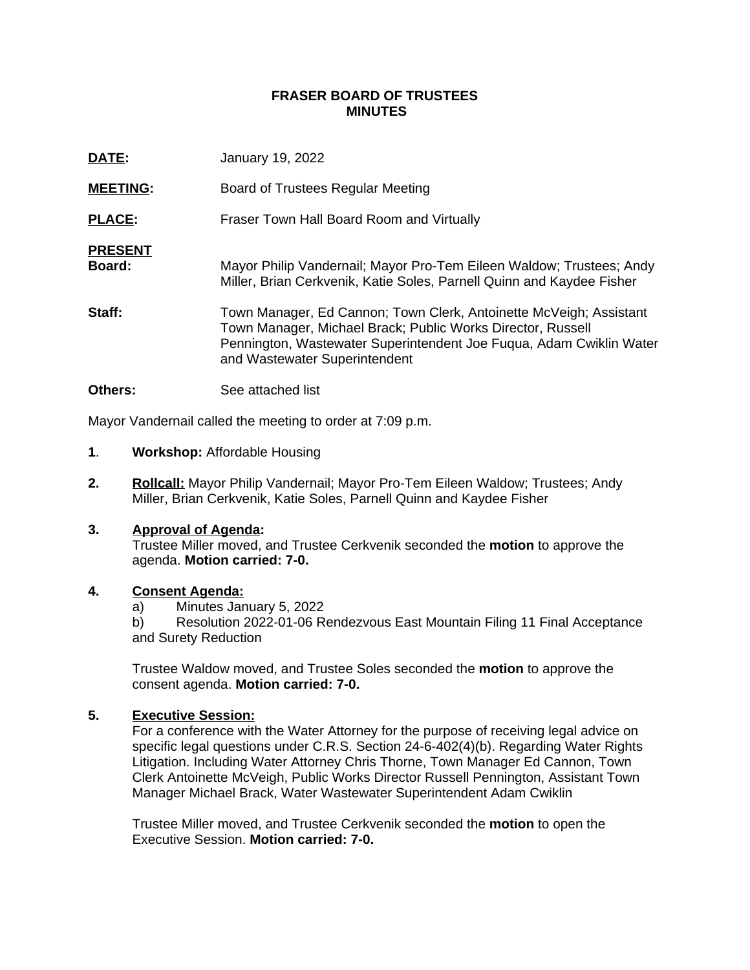#### **FRASER BOARD OF TRUSTEES MINUTES**

| DATE:                    | <b>January 19, 2022</b>                                                                                                                                                                                                                   |
|--------------------------|-------------------------------------------------------------------------------------------------------------------------------------------------------------------------------------------------------------------------------------------|
| <b>MEETING:</b>          | Board of Trustees Regular Meeting                                                                                                                                                                                                         |
| <b>PLACE:</b>            | Fraser Town Hall Board Room and Virtually                                                                                                                                                                                                 |
| <b>PRESENT</b><br>Board: | Mayor Philip Vandernail; Mayor Pro-Tem Eileen Waldow; Trustees; Andy<br>Miller, Brian Cerkvenik, Katie Soles, Parnell Quinn and Kaydee Fisher                                                                                             |
| Staff:                   | Town Manager, Ed Cannon; Town Clerk, Antoinette McVeigh; Assistant<br>Town Manager, Michael Brack; Public Works Director, Russell<br>Pennington, Wastewater Superintendent Joe Fuqua, Adam Cwiklin Water<br>and Wastewater Superintendent |

**Others:** See attached list

Mayor Vandernail called the meeting to order at 7:09 p.m.

- **1**. **Workshop:** Affordable Housing
- **2. Rollcall:** Mayor Philip Vandernail; Mayor Pro-Tem Eileen Waldow; Trustees; Andy Miller, Brian Cerkvenik, Katie Soles, Parnell Quinn and Kaydee Fisher

#### **3. Approval of Agenda:**

Trustee Miller moved, and Trustee Cerkvenik seconded the **motion** to approve the agenda. **Motion carried: 7-0.**

#### **4. Consent Agenda:**

a) Minutes January 5, 2022

b) Resolution 2022-01-06 Rendezvous East Mountain Filing 11 Final Acceptance and Surety Reduction

Trustee Waldow moved, and Trustee Soles seconded the **motion** to approve the consent agenda. **Motion carried: 7-0.**

### **5. Executive Session:**

For a conference with the Water Attorney for the purpose of receiving legal advice on specific legal questions under C.R.S. Section 24-6-402(4)(b). Regarding Water Rights Litigation. Including Water Attorney Chris Thorne, Town Manager Ed Cannon, Town Clerk Antoinette McVeigh, Public Works Director Russell Pennington, Assistant Town Manager Michael Brack, Water Wastewater Superintendent Adam Cwiklin

Trustee Miller moved, and Trustee Cerkvenik seconded the **motion** to open the Executive Session. **Motion carried: 7-0.**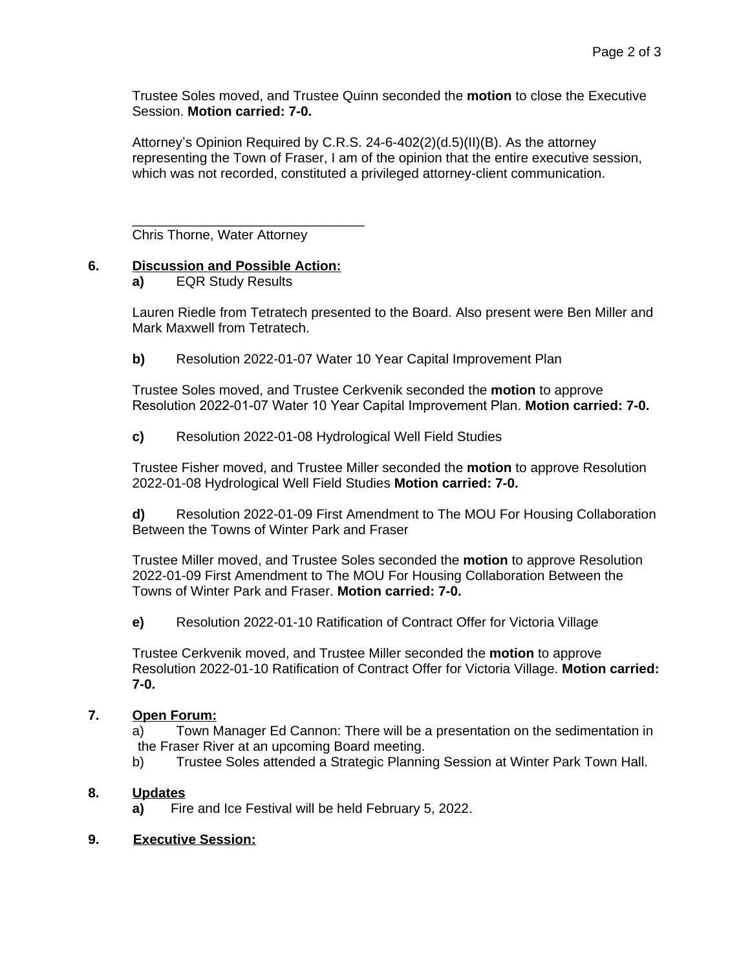Trustee Soles moved, and Trustee Quinn seconded the **motion** to close the Executive Session. **Motion carried: 7-0.**

Attorney's Opinion Required by C.R.S. 24-6-402(2)(d.5)(II)(B). As the attorney representing the Town of Fraser, I am of the opinion that the entire executive session, which was not recorded, constituted a privileged attorney-client communication.

\_\_\_\_\_\_\_\_\_\_\_\_\_\_\_\_\_\_\_\_\_\_\_\_\_\_\_\_\_\_\_ Chris Thorne, Water Attorney

# **6. Discussion and Possible Action:**

**a)** EQR Study Results

Lauren Riedle from Tetratech presented to the Board. Also present were Ben Miller and Mark Maxwell from Tetratech.

**b)** Resolution 2022-01-07 Water 10 Year Capital Improvement Plan

Trustee Soles moved, and Trustee Cerkvenik seconded the **motion** to approve Resolution 2022-01-07 Water 10 Year Capital Improvement Plan. **Motion carried: 7-0.**

**c)** Resolution 2022-01-08 Hydrological Well Field Studies

Trustee Fisher moved, and Trustee Miller seconded the **motion** to approve Resolution 2022-01-08 Hydrological Well Field Studies **Motion carried: 7-0.**

**d)** Resolution 2022-01-09 First Amendment to The MOU For Housing Collaboration Between the Towns of Winter Park and Fraser

Trustee Miller moved, and Trustee Soles seconded the **motion** to approve Resolution 2022-01-09 First Amendment to The MOU For Housing Collaboration Between the Towns of Winter Park and Fraser. **Motion carried: 7-0.**

**e)** Resolution 2022-01-10 Ratification of Contract Offer for Victoria Village

Trustee Cerkvenik moved, and Trustee Miller seconded the **motion** to approve Resolution 2022-01-10 Ratification of Contract Offer for Victoria Village. **Motion carried: 7-0.**

# **7. Open Forum:**

a) Town Manager Ed Cannon: There will be a presentation on the sedimentation in the Fraser River at an upcoming Board meeting.

b) Trustee Soles attended a Strategic Planning Session at Winter Park Town Hall.

# **8. Updates**

**a)** Fire and Ice Festival will be held February 5, 2022.

# **9. Executive Session:**